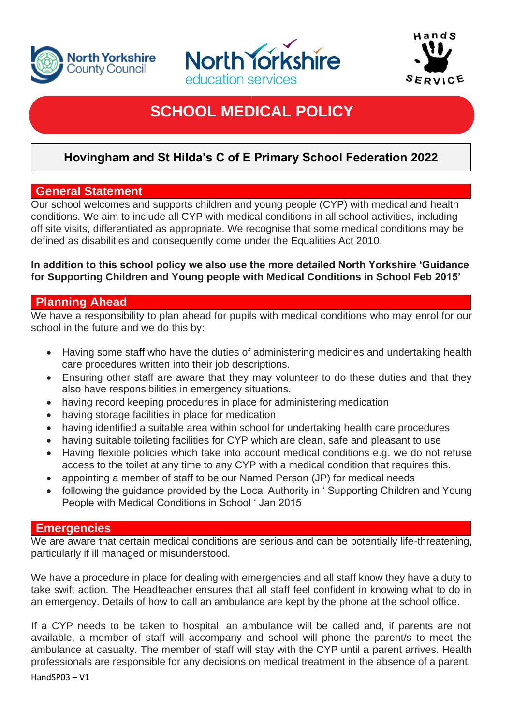





# **SCHOOL MEDICAL POLICY**

## **Hovingham and St Hilda's C of E Primary School Federation 2022**

### **General Statement**

Our school welcomes and supports children and young people (CYP) with medical and health conditions. We aim to include all CYP with medical conditions in all school activities, including off site visits, differentiated as appropriate. We recognise that some medical conditions may be defined as disabilities and consequently come under the Equalities Act 2010.

#### **In addition to this school policy we also use the more detailed North Yorkshire 'Guidance for Supporting Children and Young people with Medical Conditions in School Feb 2015'**

## **Planning Ahead**

We have a responsibility to plan ahead for pupils with medical conditions who may enrol for our school in the future and we do this by:

- Having some staff who have the duties of administering medicines and undertaking health care procedures written into their job descriptions.
- Ensuring other staff are aware that they may volunteer to do these duties and that they also have responsibilities in emergency situations.
- having record keeping procedures in place for administering medication
- having storage facilities in place for medication
- having identified a suitable area within school for undertaking health care procedures
- having suitable toileting facilities for CYP which are clean, safe and pleasant to use
- Having flexible policies which take into account medical conditions e.g. we do not refuse access to the toilet at any time to any CYP with a medical condition that requires this.
- appointing a member of staff to be our Named Person (JP) for medical needs
- following the guidance provided by the Local Authority in ' Supporting Children and Young People with Medical Conditions in School ' Jan 2015

#### **Emergencies**

We are aware that certain medical conditions are serious and can be potentially life-threatening. particularly if ill managed or misunderstood.

We have a procedure in place for dealing with emergencies and all staff know they have a duty to take swift action. The Headteacher ensures that all staff feel confident in knowing what to do in an emergency. Details of how to call an ambulance are kept by the phone at the school office.

HandSP03 – V1 If a CYP needs to be taken to hospital, an ambulance will be called and, if parents are not available, a member of staff will accompany and school will phone the parent/s to meet the ambulance at casualty. The member of staff will stay with the CYP until a parent arrives. Health professionals are responsible for any decisions on medical treatment in the absence of a parent.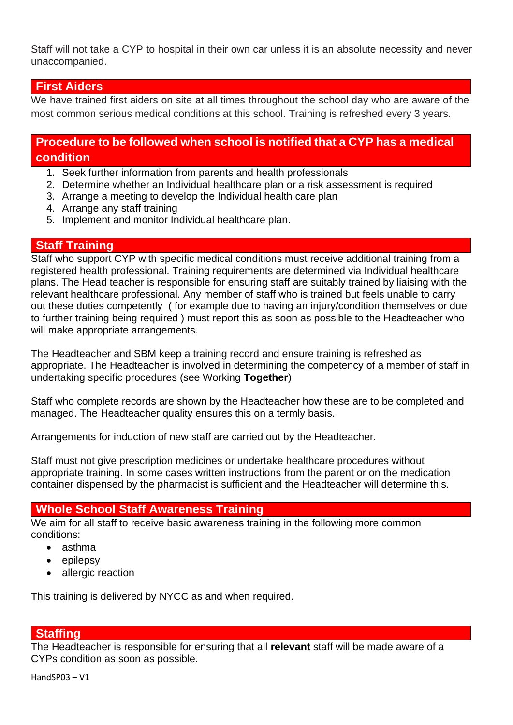Staff will not take a CYP to hospital in their own car unless it is an absolute necessity and never unaccompanied.

## **First Aiders**

We have trained first aiders on site at all times throughout the school day who are aware of the most common serious medical conditions at this school. Training is refreshed every 3 years.

## **Procedure to be followed when school is notified that a CYP has a medical condition**

- 1. Seek further information from parents and health professionals
- 2. Determine whether an Individual healthcare plan or a risk assessment is required
- 3. Arrange a meeting to develop the Individual health care plan
- 4. Arrange any staff training
- 5. Implement and monitor Individual healthcare plan.

#### **Staff Training**

Staff who support CYP with specific medical conditions must receive additional training from a registered health professional. Training requirements are determined via Individual healthcare plans. The Head teacher is responsible for ensuring staff are suitably trained by liaising with the relevant healthcare professional. Any member of staff who is trained but feels unable to carry out these duties competently ( for example due to having an injury/condition themselves or due to further training being required ) must report this as soon as possible to the Headteacher who will make appropriate arrangements.

The Headteacher and SBM keep a training record and ensure training is refreshed as appropriate. The Headteacher is involved in determining the competency of a member of staff in undertaking specific procedures (see Working **Together**)

Staff who complete records are shown by the Headteacher how these are to be completed and managed. The Headteacher quality ensures this on a termly basis.

Arrangements for induction of new staff are carried out by the Headteacher.

Staff must not give prescription medicines or undertake healthcare procedures without appropriate training. In some cases written instructions from the parent or on the medication container dispensed by the pharmacist is sufficient and the Headteacher will determine this.

#### **Whole School Staff Awareness Training**

We aim for all staff to receive basic awareness training in the following more common conditions:

- asthma
- epilepsy
- allergic reaction

This training is delivered by NYCC as and when required.

#### **Staffing**

The Headteacher is responsible for ensuring that all **relevant** staff will be made aware of a CYPs condition as soon as possible.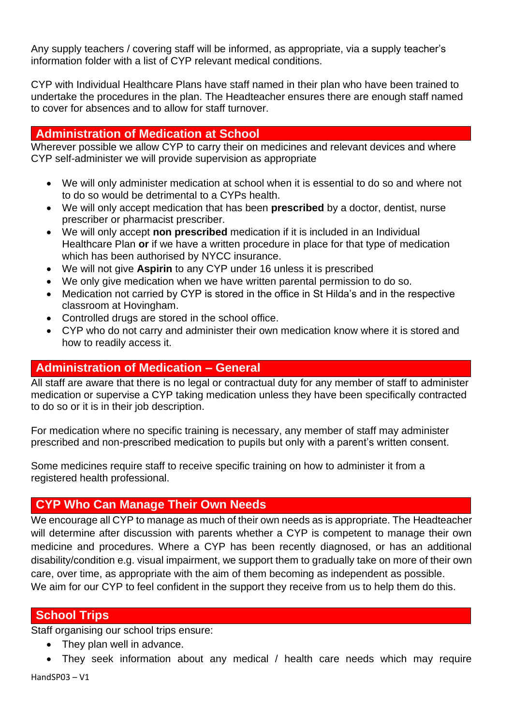Any supply teachers / covering staff will be informed, as appropriate, via a supply teacher's information folder with a list of CYP relevant medical conditions.

CYP with Individual Healthcare Plans have staff named in their plan who have been trained to undertake the procedures in the plan. The Headteacher ensures there are enough staff named to cover for absences and to allow for staff turnover.

## **Administration of Medication at School**

Wherever possible we allow CYP to carry their on medicines and relevant devices and where CYP self-administer we will provide supervision as appropriate

- We will only administer medication at school when it is essential to do so and where not to do so would be detrimental to a CYPs health.
- We will only accept medication that has been **prescribed** by a doctor, dentist, nurse prescriber or pharmacist prescriber.
- We will only accept **non prescribed** medication if it is included in an Individual Healthcare Plan **or** if we have a written procedure in place for that type of medication which has been authorised by NYCC insurance.
- We will not give **Aspirin** to any CYP under 16 unless it is prescribed
- We only give medication when we have written parental permission to do so.
- Medication not carried by CYP is stored in the office in St Hilda's and in the respective classroom at Hovingham.
- Controlled drugs are stored in the school office.
- CYP who do not carry and administer their own medication know where it is stored and how to readily access it.

## **Administration of Medication – General**

All staff are aware that there is no legal or contractual duty for any member of staff to administer medication or supervise a CYP taking medication unless they have been specifically contracted to do so or it is in their job description.

For medication where no specific training is necessary, any member of staff may administer prescribed and non-prescribed medication to pupils but only with a parent's written consent.

Some medicines require staff to receive specific training on how to administer it from a registered health professional.

## **CYP Who Can Manage Their Own Needs**

We encourage all CYP to manage as much of their own needs as is appropriate. The Headteacher will determine after discussion with parents whether a CYP is competent to manage their own medicine and procedures. Where a CYP has been recently diagnosed, or has an additional disability/condition e.g. visual impairment, we support them to gradually take on more of their own care, over time, as appropriate with the aim of them becoming as independent as possible. We aim for our CYP to feel confident in the support they receive from us to help them do this.

## **School Trips**

Staff organising our school trips ensure:

- They plan well in advance.
- They seek information about any medical / health care needs which may require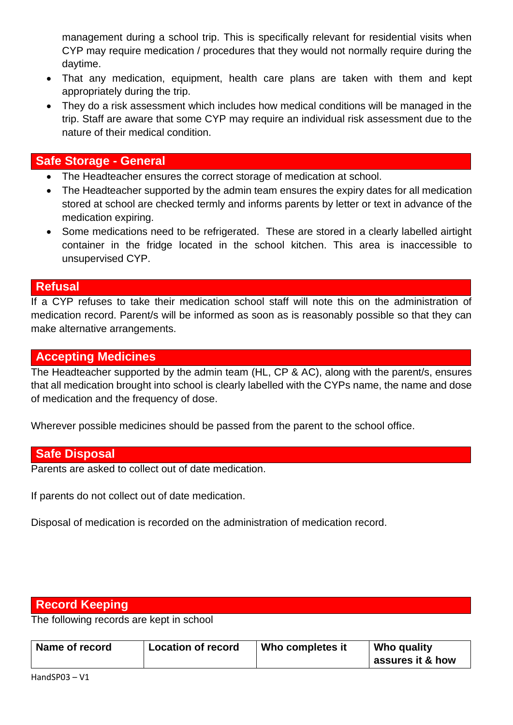management during a school trip. This is specifically relevant for residential visits when CYP may require medication / procedures that they would not normally require during the daytime.

- That any medication, equipment, health care plans are taken with them and kept appropriately during the trip.
- They do a risk assessment which includes how medical conditions will be managed in the trip. Staff are aware that some CYP may require an individual risk assessment due to the nature of their medical condition.

## **Safe Storage - General**

- The Headteacher ensures the correct storage of medication at school.
- The Headteacher supported by the admin team ensures the expiry dates for all medication stored at school are checked termly and informs parents by letter or text in advance of the medication expiring.
- Some medications need to be refrigerated. These are stored in a clearly labelled airtight container in the fridge located in the school kitchen. This area is inaccessible to unsupervised CYP.

#### **Refusal**

If a CYP refuses to take their medication school staff will note this on the administration of medication record. Parent/s will be informed as soon as is reasonably possible so that they can make alternative arrangements.

### **Accepting Medicines**

The Headteacher supported by the admin team (HL, CP & AC), along with the parent/s, ensures that all medication brought into school is clearly labelled with the CYPs name, the name and dose of medication and the frequency of dose.

Wherever possible medicines should be passed from the parent to the school office.

## **Safe Disposal**

Parents are asked to collect out of date medication.

If parents do not collect out of date medication.

Disposal of medication is recorded on the administration of medication record.

## **Record Keeping**

The following records are kept in school

| Name of record | <b>Location of record</b> | Who completes it | Who quality      |
|----------------|---------------------------|------------------|------------------|
|                |                           |                  | assures it & how |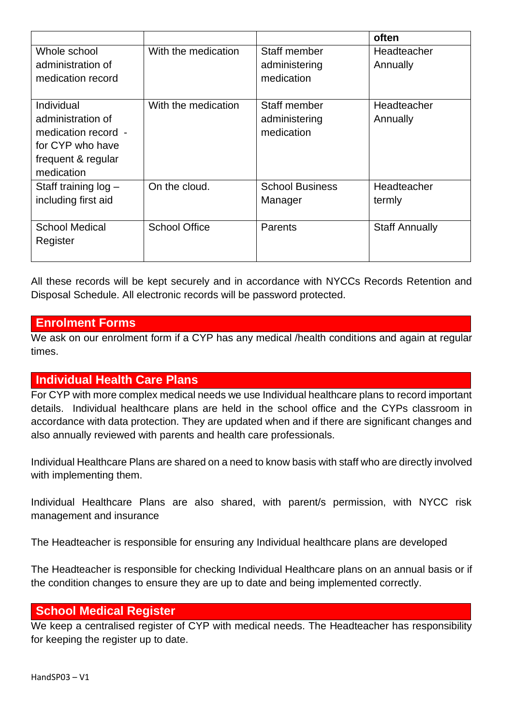|                        |                      |                        | often                 |
|------------------------|----------------------|------------------------|-----------------------|
| Whole school           | With the medication  | Staff member           | Headteacher           |
| administration of      |                      | administering          | Annually              |
| medication record      |                      | medication             |                       |
|                        |                      |                        |                       |
| Individual             | With the medication  | Staff member           | Headteacher           |
| administration of      |                      | administering          | Annually              |
| medication record -    |                      | medication             |                       |
| for CYP who have       |                      |                        |                       |
| frequent & regular     |                      |                        |                       |
| medication             |                      |                        |                       |
| Staff training $log -$ | On the cloud.        | <b>School Business</b> | Headteacher           |
| including first aid    |                      | Manager                | termly                |
|                        |                      |                        |                       |
| <b>School Medical</b>  | <b>School Office</b> | Parents                | <b>Staff Annually</b> |
| Register               |                      |                        |                       |
|                        |                      |                        |                       |

All these records will be kept securely and in accordance with NYCCs Records Retention and Disposal Schedule. All electronic records will be password protected.

#### **Enrolment Forms**

We ask on our enrolment form if a CYP has any medical /health conditions and again at regular times.

## **Individual Health Care Plans**

For CYP with more complex medical needs we use Individual healthcare plans to record important details. Individual healthcare plans are held in the school office and the CYPs classroom in accordance with data protection. They are updated when and if there are significant changes and also annually reviewed with parents and health care professionals.

Individual Healthcare Plans are shared on a need to know basis with staff who are directly involved with implementing them.

Individual Healthcare Plans are also shared, with parent/s permission, with NYCC risk management and insurance

The Headteacher is responsible for ensuring any Individual healthcare plans are developed

The Headteacher is responsible for checking Individual Healthcare plans on an annual basis or if the condition changes to ensure they are up to date and being implemented correctly.

## **School Medical Register**

We keep a centralised register of CYP with medical needs. The Headteacher has responsibility for keeping the register up to date.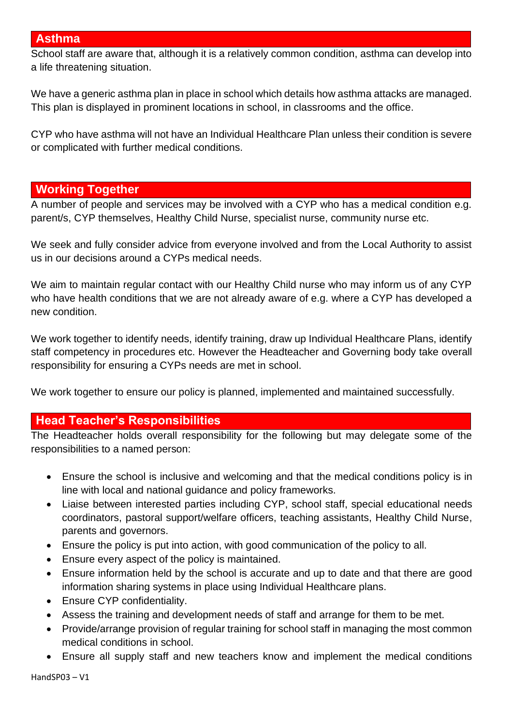#### **Asthma**

School staff are aware that, although it is a relatively common condition, asthma can develop into a life threatening situation.

We have a generic asthma plan in place in school which details how asthma attacks are managed. This plan is displayed in prominent locations in school, in classrooms and the office.

CYP who have asthma will not have an Individual Healthcare Plan unless their condition is severe or complicated with further medical conditions.

#### **Working Together**

A number of people and services may be involved with a CYP who has a medical condition e.g. parent/s, CYP themselves, Healthy Child Nurse, specialist nurse, community nurse etc.

We seek and fully consider advice from everyone involved and from the Local Authority to assist us in our decisions around a CYPs medical needs.

We aim to maintain regular contact with our Healthy Child nurse who may inform us of any CYP who have health conditions that we are not already aware of e.g. where a CYP has developed a new condition.

We work together to identify needs, identify training, draw up Individual Healthcare Plans, identify staff competency in procedures etc. However the Headteacher and Governing body take overall responsibility for ensuring a CYPs needs are met in school.

We work together to ensure our policy is planned, implemented and maintained successfully.

#### **Head Teacher's Responsibilities**

The Headteacher holds overall responsibility for the following but may delegate some of the responsibilities to a named person:

- Ensure the school is inclusive and welcoming and that the medical conditions policy is in line with local and national guidance and policy frameworks.
- Liaise between interested parties including CYP, school staff, special educational needs coordinators, pastoral support/welfare officers, teaching assistants, Healthy Child Nurse, parents and governors.
- Ensure the policy is put into action, with good communication of the policy to all.
- Ensure every aspect of the policy is maintained.
- Ensure information held by the school is accurate and up to date and that there are good information sharing systems in place using Individual Healthcare plans.
- Ensure CYP confidentiality.
- Assess the training and development needs of staff and arrange for them to be met.
- Provide/arrange provision of regular training for school staff in managing the most common medical conditions in school.
- Ensure all supply staff and new teachers know and implement the medical conditions

HandSP03 – V1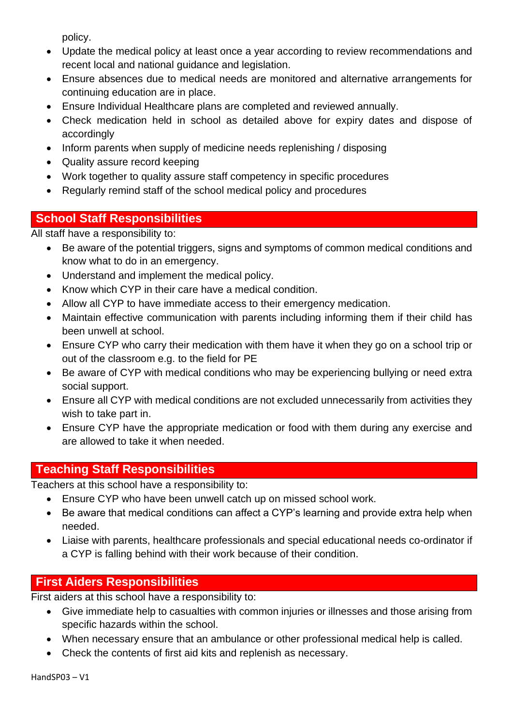policy.

- Update the medical policy at least once a year according to review recommendations and recent local and national guidance and legislation.
- Ensure absences due to medical needs are monitored and alternative arrangements for continuing education are in place.
- Ensure Individual Healthcare plans are completed and reviewed annually.
- Check medication held in school as detailed above for expiry dates and dispose of accordingly
- Inform parents when supply of medicine needs replenishing / disposing
- Quality assure record keeping
- Work together to quality assure staff competency in specific procedures
- Regularly remind staff of the school medical policy and procedures

## **School Staff Responsibilities**

All staff have a responsibility to:

- Be aware of the potential triggers, signs and symptoms of common medical conditions and know what to do in an emergency.
- Understand and implement the medical policy.
- Know which CYP in their care have a medical condition.
- Allow all CYP to have immediate access to their emergency medication.
- Maintain effective communication with parents including informing them if their child has been unwell at school.
- Ensure CYP who carry their medication with them have it when they go on a school trip or out of the classroom e.g. to the field for PE
- Be aware of CYP with medical conditions who may be experiencing bullying or need extra social support.
- Ensure all CYP with medical conditions are not excluded unnecessarily from activities they wish to take part in.
- Ensure CYP have the appropriate medication or food with them during any exercise and are allowed to take it when needed.

## **Teaching Staff Responsibilities**

Teachers at this school have a responsibility to:

- Ensure CYP who have been unwell catch up on missed school work.
- Be aware that medical conditions can affect a CYP's learning and provide extra help when needed.
- Liaise with parents, healthcare professionals and special educational needs co-ordinator if a CYP is falling behind with their work because of their condition.

## **First Aiders Responsibilities**

First aiders at this school have a responsibility to:

- Give immediate help to casualties with common injuries or illnesses and those arising from specific hazards within the school.
- When necessary ensure that an ambulance or other professional medical help is called.
- Check the contents of first aid kits and replenish as necessary.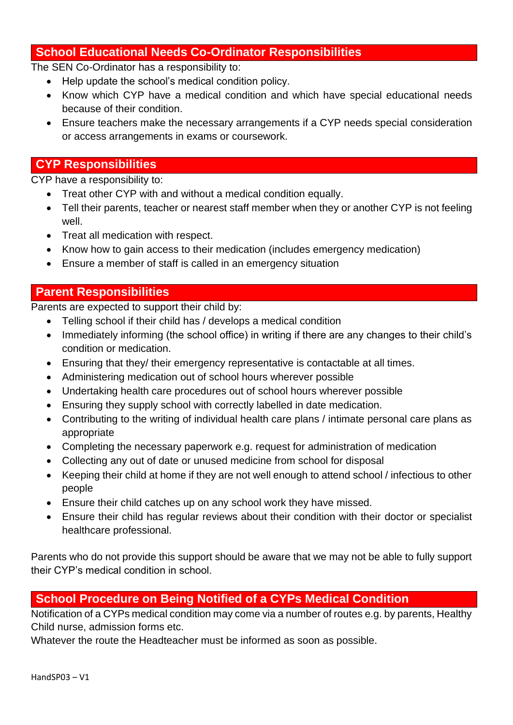## **School Educational Needs Co-Ordinator Responsibilities**

The SEN Co-Ordinator has a responsibility to:

- Help update the school's medical condition policy.
- Know which CYP have a medical condition and which have special educational needs because of their condition.
- Ensure teachers make the necessary arrangements if a CYP needs special consideration or access arrangements in exams or coursework.

## **CYP Responsibilities**

CYP have a responsibility to:

- Treat other CYP with and without a medical condition equally.
- Tell their parents, teacher or nearest staff member when they or another CYP is not feeling well.
- Treat all medication with respect.
- Know how to gain access to their medication (includes emergency medication)
- Ensure a member of staff is called in an emergency situation

#### **Parent Responsibilities**

Parents are expected to support their child by:

- Telling school if their child has / develops a medical condition
- Immediately informing (the school office) in writing if there are any changes to their child's condition or medication.
- Ensuring that they/ their emergency representative is contactable at all times.
- Administering medication out of school hours wherever possible
- Undertaking health care procedures out of school hours wherever possible
- Ensuring they supply school with correctly labelled in date medication.
- Contributing to the writing of individual health care plans / intimate personal care plans as appropriate
- Completing the necessary paperwork e.g. request for administration of medication
- Collecting any out of date or unused medicine from school for disposal
- Keeping their child at home if they are not well enough to attend school / infectious to other people
- Ensure their child catches up on any school work they have missed.
- Ensure their child has regular reviews about their condition with their doctor or specialist healthcare professional.

Parents who do not provide this support should be aware that we may not be able to fully support their CYP's medical condition in school.

## **School Procedure on Being Notified of a CYPs Medical Condition**

Notification of a CYPs medical condition may come via a number of routes e.g. by parents, Healthy Child nurse, admission forms etc.

Whatever the route the Headteacher must be informed as soon as possible.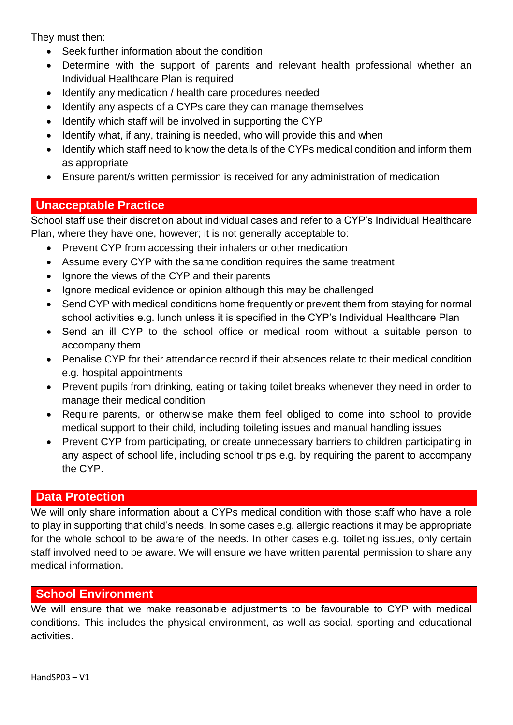They must then:

- Seek further information about the condition
- Determine with the support of parents and relevant health professional whether an Individual Healthcare Plan is required
- Identify any medication / health care procedures needed
- Identify any aspects of a CYPs care they can manage themselves
- Identify which staff will be involved in supporting the CYP
- Identify what, if any, training is needed, who will provide this and when
- Identify which staff need to know the details of the CYPs medical condition and inform them as appropriate
- Ensure parent/s written permission is received for any administration of medication

## **Unacceptable Practice**

School staff use their discretion about individual cases and refer to a CYP's Individual Healthcare Plan, where they have one, however; it is not generally acceptable to:

- Prevent CYP from accessing their inhalers or other medication
- Assume every CYP with the same condition requires the same treatment
- Ignore the views of the CYP and their parents
- Ignore medical evidence or opinion although this may be challenged
- Send CYP with medical conditions home frequently or prevent them from staying for normal school activities e.g. lunch unless it is specified in the CYP's Individual Healthcare Plan
- Send an ill CYP to the school office or medical room without a suitable person to accompany them
- Penalise CYP for their attendance record if their absences relate to their medical condition e.g. hospital appointments
- Prevent pupils from drinking, eating or taking toilet breaks whenever they need in order to manage their medical condition
- Require parents, or otherwise make them feel obliged to come into school to provide medical support to their child, including toileting issues and manual handling issues
- Prevent CYP from participating, or create unnecessary barriers to children participating in any aspect of school life, including school trips e.g. by requiring the parent to accompany the CYP.

## **Data Protection**

We will only share information about a CYPs medical condition with those staff who have a role to play in supporting that child's needs. In some cases e.g. allergic reactions it may be appropriate for the whole school to be aware of the needs. In other cases e.g. toileting issues, only certain staff involved need to be aware. We will ensure we have written parental permission to share any medical information.

#### **School Environment**

We will ensure that we make reasonable adjustments to be favourable to CYP with medical conditions. This includes the physical environment, as well as social, sporting and educational activities.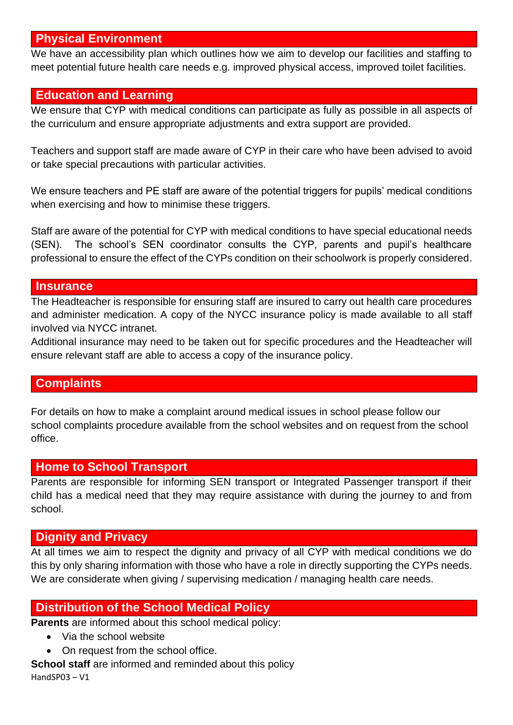## **Physical Environment**

We have an accessibility plan which outlines how we aim to develop our facilities and staffing to meet potential future health care needs e.g. improved physical access, improved toilet facilities.

#### **Education and Learning**

We ensure that CYP with medical conditions can participate as fully as possible in all aspects of the curriculum and ensure appropriate adjustments and extra support are provided.

Teachers and support staff are made aware of CYP in their care who have been advised to avoid or take special precautions with particular activities.

We ensure teachers and PE staff are aware of the potential triggers for pupils' medical conditions when exercising and how to minimise these triggers.

Staff are aware of the potential for CYP with medical conditions to have special educational needs (SEN). The school's SEN coordinator consults the CYP, parents and pupil's healthcare professional to ensure the effect of the CYPs condition on their schoolwork is properly considered.

### **Insurance**

The Headteacher is responsible for ensuring staff are insured to carry out health care procedures and administer medication. A copy of the NYCC insurance policy is made available to all staff involved via NYCC intranet.

Additional insurance may need to be taken out for specific procedures and the Headteacher will ensure relevant staff are able to access a copy of the insurance policy.

## **Complaints**

For details on how to make a complaint around medical issues in school please follow our school complaints procedure available from the school websites and on request from the school office.

#### **Home to School Transport**

Parents are responsible for informing SEN transport or Integrated Passenger transport if their child has a medical need that they may require assistance with during the journey to and from school.

#### **Dignity and Privacy**

At all times we aim to respect the dignity and privacy of all CYP with medical conditions we do this by only sharing information with those who have a role in directly supporting the CYPs needs. We are considerate when giving / supervising medication / managing health care needs.

## **Distribution of the School Medical Policy**

**Parents** are informed about this school medical policy:

- Via the school website
- On request from the school office.

HandSP03 – V1 **School staff** are informed and reminded about this policy